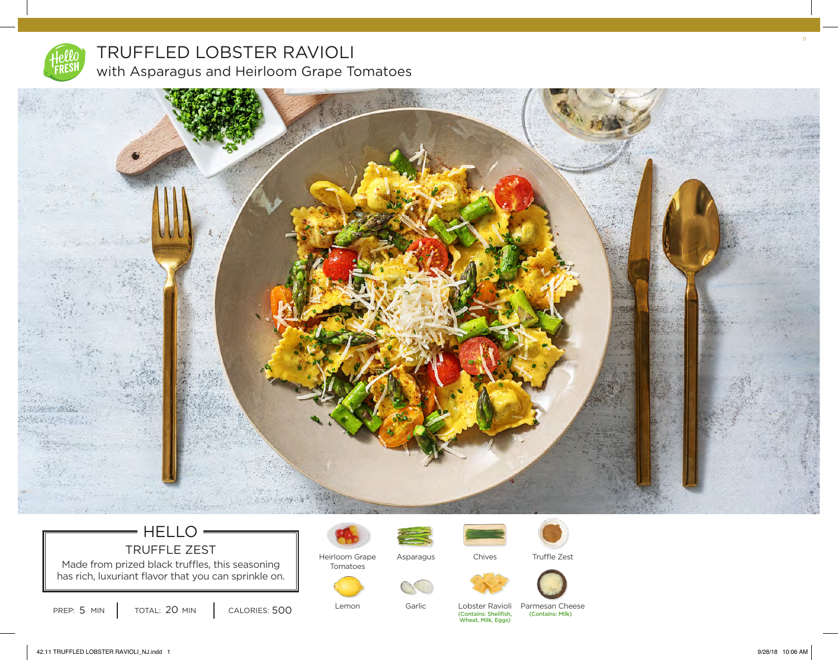

# TRUFFLED LOBSTER RAVIOLI with Asparagus and Heirloom Grape Tomatoes



## HELLO TRUFFLE ZEST

Made from prized black truffles, this seasoning **Frankly** Tomatoes has rich, luxuriant flavor that you can sprinkle on.



Heirloom Grape Asparagus



Garlic



Chives

Lobster Ravioli

(Contains: Shellfish,<br>Wheat, Milk, Eggs) (Contains: Milk) Parmesan Cheese

Truffle Zest

PREP:  $5 \text{ MIN}$   $\overline{)}$  TOTAL:  $20 \text{ MIN}$   $\overline{)}$  CALORIES:  $500$ TOTAL: 20 MIN

Lemon

11